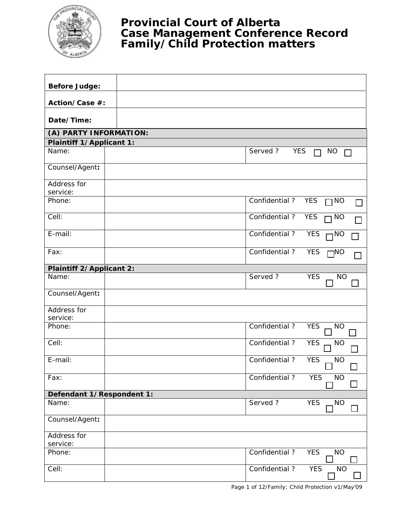

## **Provincial Court of Alberta Case Management Conference Record Family/Child Protection matters**

| <b>Before Judge:</b>            |                       |                         |
|---------------------------------|-----------------------|-------------------------|
|                                 |                       |                         |
| Action/Case #:                  |                       |                         |
| Date/Time:                      |                       |                         |
| (A) PARTY INFORMATION:          |                       |                         |
| Plaintiff 1/Applicant 1:        |                       |                         |
| Name:                           | Served?<br><b>YES</b> | <b>NO</b><br>П          |
| Counsel/Agent:                  |                       |                         |
| Address for<br>service:         |                       |                         |
| Phone:                          | Confidential?         | <b>YES</b><br>$\Box$ NO |
| Cell:                           | Confidential?         | <b>YES</b><br>$\Box$ NO |
| E-mail:                         | Confidential?         | <b>YES</b><br>$\neg$ NO |
| Fax:                            | Confidential?         | <b>YES</b><br>$\Box$ NO |
| <b>Plaintiff 2/Applicant 2:</b> |                       |                         |
| Name:                           | Served?               | <b>YES</b><br><b>NO</b> |
| Counsel/Agent:                  |                       |                         |
| Address for<br>service:         |                       |                         |
| Phone:                          | Confidential?         | <b>YES</b><br><b>NO</b> |
| Cell:                           | Confidential?         | <b>YES</b><br><b>NO</b> |
| E-mail:                         | Confidential?         | <b>YES</b><br><b>NO</b> |
| Fax:                            | Confidential?         | <b>YES</b><br><b>NO</b> |
| Defendant 1/Respondent 1:       |                       |                         |
| Name:                           | Served?               | <b>YES</b><br><b>NO</b> |
| Counsel/Agent:                  |                       |                         |
| Address for<br>service:         |                       |                         |
| Phone:                          | Confidential?         | <b>YES</b><br><b>NO</b> |
| Cell:                           | Confidential?         | <b>YES</b><br><b>NO</b> |

Page 1 of 12/Family; Child Protection v1/May'09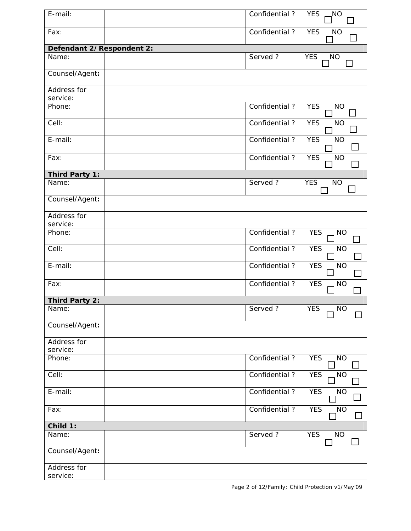| $E$ -mail:                | Confidential?  | <b>YES</b><br>NO.                         |
|---------------------------|----------------|-------------------------------------------|
| Fax:                      | Confidential?  | <b>YES</b><br><b>NO</b>                   |
| Defendant 2/Respondent 2: |                |                                           |
| Name:                     | Served?        | <b>YES</b><br>NO <sub>.</sub>             |
| Counsel/Agent:            |                |                                           |
| Address for<br>service:   |                |                                           |
| Phone:                    | Confidential?  | <b>YES</b><br><b>NO</b>                   |
| Cell:                     | Confidential?  | <b>YES</b><br><b>NO</b>                   |
| E-mail:                   | Confidential?  | <b>YES</b><br><b>NO</b><br>$\blacksquare$ |
| Fax:                      | Confidential?  | <b>YES</b><br><b>NO</b>                   |
| Third Party 1:            |                |                                           |
| Name:                     | Served ?       | <b>YES</b><br><b>NO</b>                   |
| Counsel/Agent:            |                |                                           |
| Address for<br>service:   |                |                                           |
| Phone:                    | Confidential?  | <b>YES</b><br><b>NO</b>                   |
| Cell:                     | Confidential?  | <b>YES</b><br><b>NO</b>                   |
| E-mail:                   | Confidential?  | <b>YES</b><br><b>NO</b>                   |
| Fax:                      | Confidential?  | <b>YES</b><br><b>NO</b>                   |
| <b>Third Party 2:</b>     |                |                                           |
| Name:                     | Served?        | <b>YES</b><br><b>NO</b>                   |
| Counsel/Agent:            |                |                                           |
| Address for<br>service:   |                |                                           |
| Phone:                    | Confidential?  | <b>YES</b><br><b>NO</b>                   |
| Cell:                     | Confidential ? | <b>YES</b><br><b>NO</b>                   |
| E-mail:                   | Confidential?  | <b>YES</b><br><b>NO</b>                   |
| Fax:                      | Confidential?  | <b>YES</b><br><b>NO</b>                   |
| Child 1:                  |                |                                           |
| Name:                     | Served ?       | <b>YES</b><br><b>NO</b>                   |
| Counsel/Agent:            |                |                                           |
| Address for<br>service:   |                |                                           |

Page 2 of 12/Family; Child Protection v1/May'09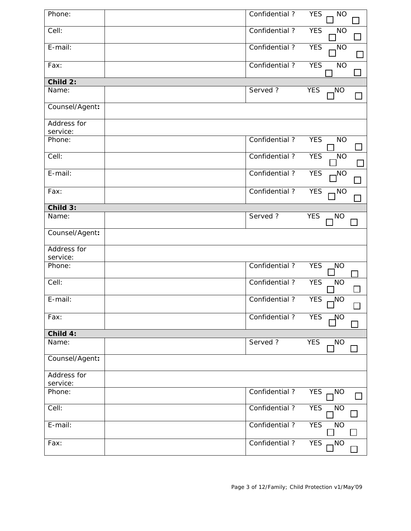| Phone:                  | Confidential?  | <b>YES</b><br><b>NO</b>       |
|-------------------------|----------------|-------------------------------|
| Cell:                   | Confidential?  | <b>YES</b><br><b>NO</b>       |
| E-mail:                 | Confidential ? | <b>YES</b><br>N <sub>O</sub>  |
| Fax:                    | Confidential?  | <b>YES</b><br><b>NO</b>       |
| Child 2:                |                |                               |
| Name:                   | Served?        | <b>YES</b><br>NO,             |
| Counsel/Agent:          |                |                               |
| Address for<br>service: |                |                               |
| Phone:                  | Confidential?  | <b>YES</b><br><b>NO</b>       |
| Cell:                   | Confidential?  | <b>YES</b><br>N <sub>O</sub>  |
| E-mail:                 | Confidential?  | <b>YES</b><br>NO <sub>-</sub> |
| Fax:                    | Confidential?  | <b>YES</b><br>NO <sub>1</sub> |
| $Child$ 3:              |                |                               |
| Name:                   | Served?        | <b>YES</b><br><b>NO</b>       |
| Counsel/Agent:          |                |                               |
| Address for<br>service: |                |                               |
| Phone:                  | Confidential?  | <b>YES</b><br>NO              |
| Cell:                   | Confidential?  | <b>YES</b><br><b>NO</b>       |
| E-mail:                 | Confidential?  | <b>YES</b><br>NO,             |
| Fax:                    | Confidential?  | <b>YES</b><br>ΜO              |
| Child 4:                |                |                               |
| Name:                   | Served?        | <b>YES</b><br><b>NO</b>       |
| Counsel/Agent:          |                |                               |
| Address for<br>service: |                |                               |
| Phone:                  | Confidential?  | <b>YES</b><br>NO <sub>.</sub> |
| Cell:                   | Confidential?  | <b>YES</b><br><b>NO</b>       |
| E-mail:                 | Confidential?  | <b>YES</b><br><b>NO</b>       |
| Fax:                    | Confidential?  | <b>YES</b><br>NO,             |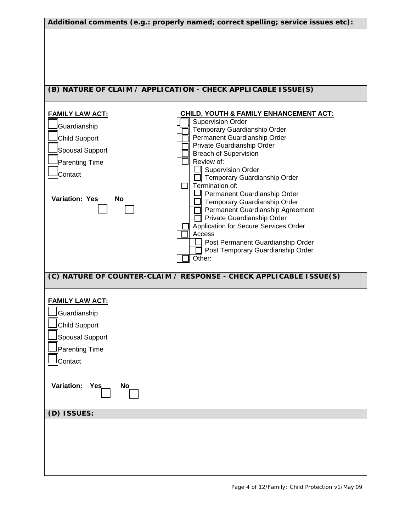| Additional comments (e.g.: properly named; correct spelling; service issues etc):                                                      |                                                                                                                                                                                                                                                                                                                                                                                                                                                                                                                                                                                   |  |  |  |
|----------------------------------------------------------------------------------------------------------------------------------------|-----------------------------------------------------------------------------------------------------------------------------------------------------------------------------------------------------------------------------------------------------------------------------------------------------------------------------------------------------------------------------------------------------------------------------------------------------------------------------------------------------------------------------------------------------------------------------------|--|--|--|
|                                                                                                                                        | (B) NATURE OF CLAIM / APPLICATION - CHECK APPLICABLE ISSUE(S)                                                                                                                                                                                                                                                                                                                                                                                                                                                                                                                     |  |  |  |
| <b>FAMILY LAW ACT:</b><br>Guardianship<br>Child Support<br>Spousal Support<br>Parenting Time<br>Contact<br><b>Variation: Yes</b><br>No | <b>CHILD, YOUTH &amp; FAMILY ENHANCEMENT ACT:</b><br><b>Supervision Order</b><br>Temporary Guardianship Order<br>Permanent Guardianship Order<br>Private Guardianship Order<br><b>Breach of Supervision</b><br>Review of:<br><b>Supervision Order</b><br>Temporary Guardianship Order<br>Termination of:<br>Permanent Guardianship Order<br>Temporary Guardianship Order<br>Permanent Guardianship Agreement<br>Private Guardianship Order<br>Application for Secure Services Order<br>Access<br>Post Permanent Guardianship Order<br>Post Temporary Guardianship Order<br>Other: |  |  |  |
|                                                                                                                                        | (C) NATURE OF COUNTER-CLAIM / RESPONSE - CHECK APPLICABLE ISSUE(S)                                                                                                                                                                                                                                                                                                                                                                                                                                                                                                                |  |  |  |
| <b>FAMILY LAW ACT:</b><br>Guardianship<br>Child Support<br>Spousal Support<br>Parenting Time<br>Contact                                |                                                                                                                                                                                                                                                                                                                                                                                                                                                                                                                                                                                   |  |  |  |
| <b>Variation:</b><br>Yes_<br><b>No</b>                                                                                                 |                                                                                                                                                                                                                                                                                                                                                                                                                                                                                                                                                                                   |  |  |  |
| (D) ISSUES:                                                                                                                            |                                                                                                                                                                                                                                                                                                                                                                                                                                                                                                                                                                                   |  |  |  |
|                                                                                                                                        |                                                                                                                                                                                                                                                                                                                                                                                                                                                                                                                                                                                   |  |  |  |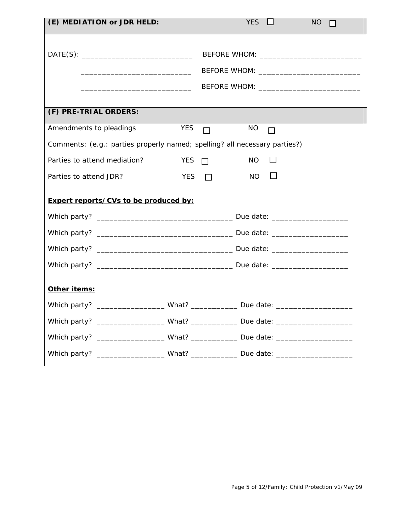| (E) MEDIATION or JDR HELD:                                                       |            |            | $YES$ $\Box$        | <b>NO</b><br>$\Box$ |
|----------------------------------------------------------------------------------|------------|------------|---------------------|---------------------|
|                                                                                  |            |            |                     |                     |
|                                                                                  |            |            |                     |                     |
|                                                                                  |            |            |                     |                     |
|                                                                                  |            |            |                     |                     |
|                                                                                  |            |            |                     |                     |
| (F) PRE-TRIAL ORDERS:                                                            |            |            |                     |                     |
| Amendments to pleadings                                                          |            |            | $YES$ NO $\Box$     |                     |
| Comments: (e.g.: parties properly named; spelling? all necessary parties?)       |            |            |                     |                     |
| Parties to attend mediation?                                                     |            | YES $\Box$ | <b>NO</b><br>$\Box$ |                     |
| Parties to attend JDR?                                                           | YES $\Box$ |            | $\Box$<br><b>NO</b> |                     |
| <b>Expert reports/CVs to be produced by:</b>                                     |            |            |                     |                     |
|                                                                                  |            |            |                     |                     |
|                                                                                  |            |            |                     |                     |
|                                                                                  |            |            |                     |                     |
|                                                                                  |            |            |                     |                     |
| Other items:                                                                     |            |            |                     |                     |
| Which party? _____________________What? _______________Due date: _______________ |            |            |                     |                     |
| Which party? ____________________What? _______________Due date: ________________ |            |            |                     |                     |
| Which party? ____________________What? _______________Due date: ________________ |            |            |                     |                     |
| Which party? ____________________What? ________________Due date: _______________ |            |            |                     |                     |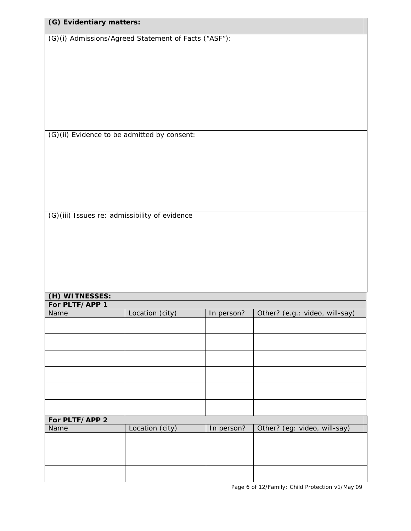| (G) Evidentiary matters: |                                                      |            |                                |
|--------------------------|------------------------------------------------------|------------|--------------------------------|
|                          | (G)(i) Admissions/Agreed Statement of Facts ("ASF"): |            |                                |
|                          |                                                      |            |                                |
|                          |                                                      |            |                                |
|                          |                                                      |            |                                |
|                          |                                                      |            |                                |
|                          |                                                      |            |                                |
|                          |                                                      |            |                                |
|                          | (G)(ii) Evidence to be admitted by consent:          |            |                                |
|                          |                                                      |            |                                |
|                          |                                                      |            |                                |
|                          |                                                      |            |                                |
|                          |                                                      |            |                                |
|                          |                                                      |            |                                |
|                          | (G)(iii) Issues re: admissibility of evidence        |            |                                |
|                          |                                                      |            |                                |
|                          |                                                      |            |                                |
|                          |                                                      |            |                                |
|                          |                                                      |            |                                |
|                          |                                                      |            |                                |
| (H) WITNESSES:           |                                                      |            |                                |
| For PLTF/APP 1<br>Name   | Location (city)                                      | In person? | Other? (e.g.: video, will-say) |
|                          |                                                      |            |                                |
|                          |                                                      |            |                                |
|                          |                                                      |            |                                |
|                          |                                                      |            |                                |
|                          |                                                      |            |                                |
|                          |                                                      |            |                                |
|                          |                                                      |            |                                |
|                          |                                                      |            |                                |
| For PLTF/APP 2<br>Name   | Location (city)                                      | In person? | Other? (eg: video, will-say)   |
|                          |                                                      |            |                                |
|                          |                                                      |            |                                |
|                          |                                                      |            |                                |
|                          |                                                      |            |                                |

Page 6 of 12/Family; Child Protection v1/May'09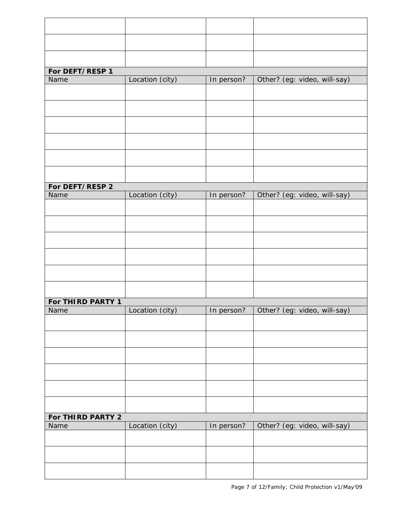| For DEFT/RESP 1   |                 |            |                              |
|-------------------|-----------------|------------|------------------------------|
| Name              | Location (city) | In person? | Other? (eg: video, will-say) |
|                   |                 |            |                              |
|                   |                 |            |                              |
|                   |                 |            |                              |
|                   |                 |            |                              |
|                   |                 |            |                              |
|                   |                 |            |                              |
|                   |                 |            |                              |
|                   |                 |            |                              |
|                   |                 |            |                              |
| For DEFT/RESP 2   |                 |            |                              |
| Name              | Location (city) | In person? | Other? (eg: video, will-say) |
|                   |                 |            |                              |
|                   |                 |            |                              |
|                   |                 |            |                              |
|                   |                 |            |                              |
|                   |                 |            |                              |
|                   |                 |            |                              |
|                   |                 |            |                              |
|                   |                 |            |                              |
|                   |                 |            |                              |
| For THIRD PARTY 1 |                 |            |                              |
| Name              | Location (city) | In person? | Other? (eg: video, will-say) |
|                   |                 |            |                              |
|                   |                 |            |                              |
|                   |                 |            |                              |
|                   |                 |            |                              |
|                   |                 |            |                              |
|                   |                 |            |                              |
|                   |                 |            |                              |
|                   |                 |            |                              |
|                   |                 |            |                              |
| For THIRD PARTY 2 |                 |            |                              |
| Name              | Location (city) | In person? | Other? (eg: video, will-say) |
|                   |                 |            |                              |
|                   |                 |            |                              |
|                   |                 |            |                              |
|                   |                 |            |                              |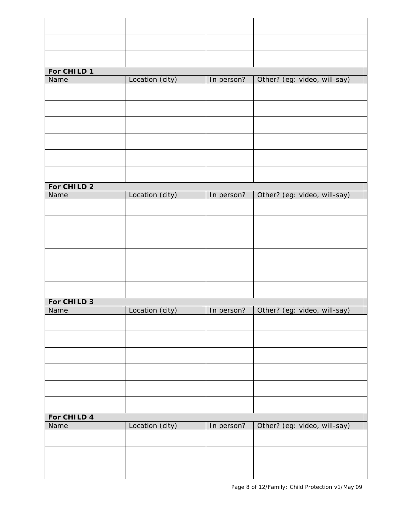| For CHILD 1 |                 |            |                              |
|-------------|-----------------|------------|------------------------------|
|             |                 |            |                              |
| Name        | Location (city) | In person? | Other? (eg: video, will-say) |
|             |                 |            |                              |
|             |                 |            |                              |
|             |                 |            |                              |
|             |                 |            |                              |
|             |                 |            |                              |
|             |                 |            |                              |
| For CHILD 2 |                 |            |                              |
| Name        | Location (city) | In person? | Other? (eg: video, will-say) |
|             |                 |            |                              |
|             |                 |            |                              |
|             |                 |            |                              |
|             |                 |            |                              |
|             |                 |            |                              |
|             |                 |            |                              |
|             |                 |            |                              |
| For CHILD 3 |                 |            |                              |
| Name        | Location (city) | In person? | Other? (eg: video, will-say) |
|             |                 |            |                              |
|             |                 |            |                              |
|             |                 |            |                              |
|             |                 |            |                              |
|             |                 |            |                              |
| For CHILD 4 |                 |            |                              |
| Name        | Location (city) | In person? | Other? (eg: video, will-say) |
|             |                 |            |                              |
|             |                 |            |                              |
|             |                 |            |                              |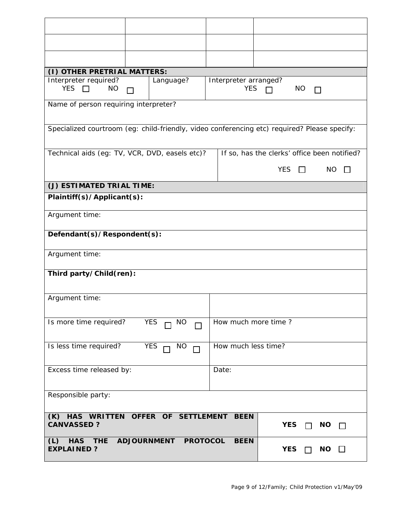| (I) OTHER PRETRIAL MATTERS:                          |                                                                                              |                       |                                              |                           |  |
|------------------------------------------------------|----------------------------------------------------------------------------------------------|-----------------------|----------------------------------------------|---------------------------|--|
| Interpreter required?                                | Language?                                                                                    | Interpreter arranged? |                                              |                           |  |
| YES $\Box$<br><b>NO</b>                              | П                                                                                            | <b>YES</b>            | <b>NO</b><br>$\Box$                          | П                         |  |
| Name of person requiring interpreter?                |                                                                                              |                       |                                              |                           |  |
|                                                      | Specialized courtroom (eg: child-friendly, video conferencing etc) required? Please specify: |                       |                                              |                           |  |
|                                                      | Technical aids (eg: TV, VCR, DVD, easels etc)?                                               |                       | If so, has the clerks' office been notified? |                           |  |
|                                                      |                                                                                              |                       | YES $\Box$                                   | <b>NO</b><br>$\mathbf{I}$ |  |
| (J) ESTIMATED TRIAL TIME:                            |                                                                                              |                       |                                              |                           |  |
| Plaintiff(s)/Applicant(s):                           |                                                                                              |                       |                                              |                           |  |
| Argument time:                                       |                                                                                              |                       |                                              |                           |  |
| Defendant(s)/Respondent(s):                          |                                                                                              |                       |                                              |                           |  |
| Argument time:                                       |                                                                                              |                       |                                              |                           |  |
| Third party/Child(ren):                              |                                                                                              |                       |                                              |                           |  |
| Argument time:                                       |                                                                                              |                       |                                              |                           |  |
| Is more time required?                               | <b>YES</b><br>$\Box$ NO                                                                      | How much more time?   |                                              |                           |  |
| Is less time required?                               | YES<br>NO                                                                                    | How much less time?   |                                              |                           |  |
| Excess time released by:                             |                                                                                              | Date:                 |                                              |                           |  |
| Responsible party:                                   |                                                                                              |                       |                                              |                           |  |
| <b>CANVASSED?</b>                                    | (K) HAS WRITTEN OFFER OF SETTLEMENT                                                          | <b>BEEN</b>           | <b>YES</b>                                   | <b>NO</b>                 |  |
| (L)<br><b>THE</b><br><b>HAS</b><br><b>EXPLAINED?</b> | ADJOURNMENT PROTOCOL                                                                         | <b>BEEN</b>           | <b>YES</b><br>$\blacksquare$                 | $NO$ $\Box$               |  |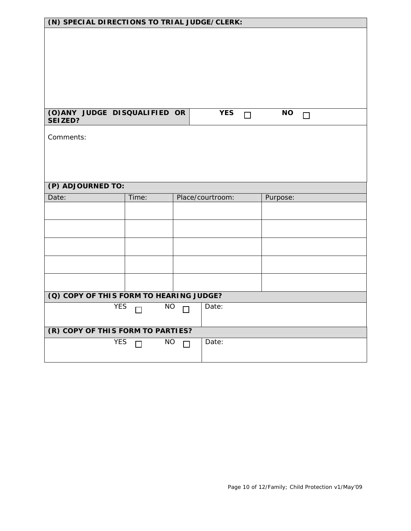| (N) SPECIAL DIRECTIONS TO TRIAL JUDGE/CLERK: |                     |        |                  |        |           |        |  |
|----------------------------------------------|---------------------|--------|------------------|--------|-----------|--------|--|
|                                              |                     |        |                  |        |           |        |  |
|                                              |                     |        |                  |        |           |        |  |
|                                              |                     |        |                  |        |           |        |  |
|                                              |                     |        |                  |        |           |        |  |
|                                              |                     |        |                  |        |           |        |  |
|                                              |                     |        |                  |        |           |        |  |
| (O) ANY JUDGE DISQUALIFIED OR                |                     |        | <b>YES</b>       |        | <b>NO</b> |        |  |
| SEIZED?                                      |                     |        |                  | $\Box$ |           | $\Box$ |  |
| Comments:                                    |                     |        |                  |        |           |        |  |
|                                              |                     |        |                  |        |           |        |  |
|                                              |                     |        |                  |        |           |        |  |
|                                              |                     |        |                  |        |           |        |  |
|                                              |                     |        |                  |        |           |        |  |
| (P) ADJOURNED TO:                            |                     |        |                  |        |           |        |  |
|                                              |                     |        |                  |        |           |        |  |
| Date:                                        | Time:               |        | Place/courtroom: |        | Purpose:  |        |  |
|                                              |                     |        |                  |        |           |        |  |
|                                              |                     |        |                  |        |           |        |  |
|                                              |                     |        |                  |        |           |        |  |
|                                              |                     |        |                  |        |           |        |  |
|                                              |                     |        |                  |        |           |        |  |
|                                              |                     |        |                  |        |           |        |  |
|                                              |                     |        |                  |        |           |        |  |
| (Q) COPY OF THIS FORM TO HEARING JUDGE?      |                     |        |                  |        |           |        |  |
| <b>YES</b>                                   | <b>NO</b><br>$\Box$ | $\Box$ | Date:            |        |           |        |  |
|                                              |                     |        |                  |        |           |        |  |
| (R) COPY OF THIS FORM TO PARTIES?            |                     |        |                  |        |           |        |  |
| YES                                          | <b>NO</b><br>$\Box$ | П      | Date:            |        |           |        |  |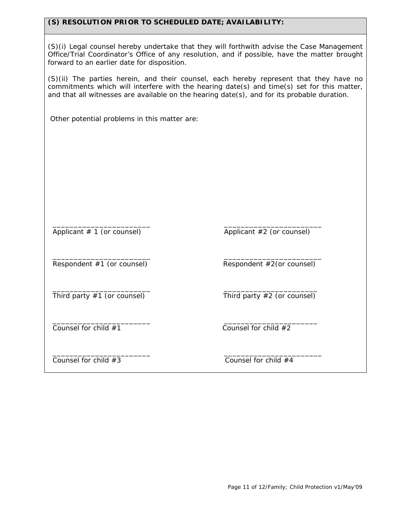## **(S) RESOLUTION PRIOR TO SCHEDULED DATE; AVAILABILITY:**

(S)(i) Legal counsel hereby undertake that they will forthwith advise the Case Management Office/Trial Coordinator's Office of any resolution, and if possible, have the matter brought forward to an earlier date for disposition.

(S)(ii) The parties herein, and their counsel, each hereby represent that they have no commitments which will interfere with the hearing date(s) and time(s) set for this matter, and that all witnesses are available on the hearing date(s), and for its probable duration.

Other potential problems in this matter are:

Applicant # 1 (or counsel) Applicant #2 (or counsel)

\_\_\_\_\_\_\_\_\_\_\_\_\_\_\_\_\_\_\_\_\_\_\_ \_\_\_\_\_\_\_\_\_\_\_\_\_\_\_\_\_\_\_\_\_\_\_

 \_\_\_\_\_\_\_\_\_\_\_\_\_\_\_\_\_\_\_\_\_\_\_ \_\_\_\_\_\_\_\_\_\_\_\_\_\_\_\_\_\_\_\_\_\_\_ Respondent #1 (or counsel) Respondent #2(or counsel)

Third party #1 (or counsel) Third party #2 (or counsel)

\_\_\_\_\_\_\_\_\_\_\_\_\_\_\_\_\_\_\_\_\_\_\_ \_\_\_\_\_\_\_\_\_\_\_\_\_\_\_\_\_\_\_\_\_\_

 \_\_\_\_\_\_\_\_\_\_\_\_\_\_\_\_\_\_\_\_\_\_\_ \_\_\_\_\_\_\_\_\_\_\_\_\_\_\_\_\_\_\_\_\_\_\_ Counsel for child #3 Counsel for child #4

\_\_\_\_\_\_\_\_\_\_\_\_\_\_\_\_\_\_\_\_\_\_\_ \_\_\_\_\_\_\_\_\_\_\_\_\_\_\_\_\_\_\_\_\_\_

Counsel for child  $#1$  Counsel for child  $#2$